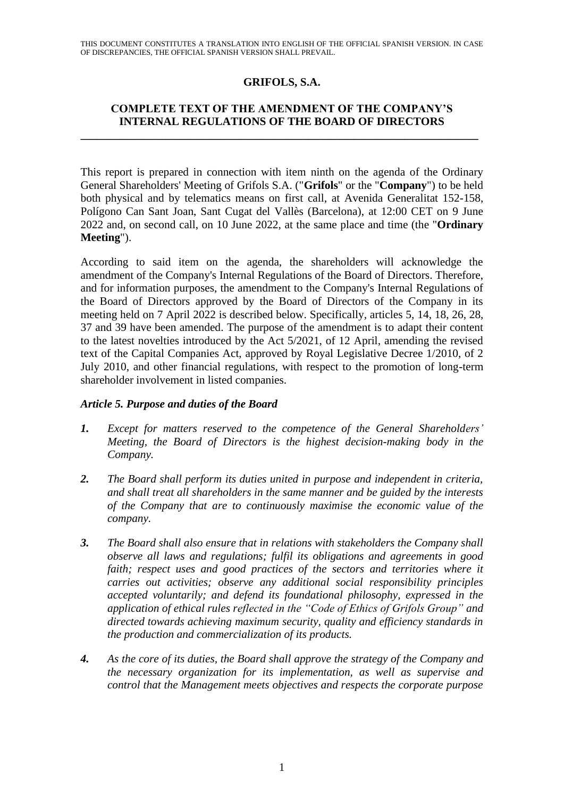THIS DOCUMENT CONSTITUTES A TRANSLATION INTO ENGLISH OF THE OFFICIAL SPANISH VERSION. IN CASE OF DISCREPANCIES, THE OFFICIAL SPANISH VERSION SHALL PREVAIL.

## **GRIFOLS, S.A.**

## **COMPLETE TEXT OF THE AMENDMENT OF THE COMPANY'S INTERNAL REGULATIONS OF THE BOARD OF DIRECTORS**

**\_\_\_\_\_\_\_\_\_\_\_\_\_\_\_\_\_\_\_\_\_\_\_\_\_\_\_\_\_\_\_\_\_\_\_\_\_\_\_\_\_\_\_\_\_\_\_\_\_\_\_\_\_\_\_\_\_\_\_\_\_\_\_\_\_\_\_\_\_\_**

This report is prepared in connection with item ninth on the agenda of the Ordinary General Shareholders' Meeting of Grifols S.A. ("**Grifols**" or the "**Company**") to be held both physical and by telematics means on first call, at Avenida Generalitat 152-158, Polígono Can Sant Joan, Sant Cugat del Vallès (Barcelona), at 12:00 CET on 9 June 2022 and, on second call, on 10 June 2022, at the same place and time (the "**Ordinary Meeting**").

According to said item on the agenda, the shareholders will acknowledge the amendment of the Company's Internal Regulations of the Board of Directors. Therefore, and for information purposes, the amendment to the Company's Internal Regulations of the Board of Directors approved by the Board of Directors of the Company in its meeting held on 7 April 2022 is described below. Specifically, articles 5, 14, 18, 26, 28, 37 and 39 have been amended. The purpose of the amendment is to adapt their content to the latest novelties introduced by the Act 5/2021, of 12 April, amending the revised text of the Capital Companies Act, approved by Royal Legislative Decree 1/2010, of 2 July 2010, and other financial regulations, with respect to the promotion of long-term shareholder involvement in listed companies.

### *Article 5. Purpose and duties of the Board*

- *1. Except for matters reserved to the competence of the General Shareholders' Meeting, the Board of Directors is the highest decision-making body in the Company.*
- *2. The Board shall perform its duties united in purpose and independent in criteria, and shall treat all shareholders in the same manner and be guided by the interests of the Company that are to continuously maximise the economic value of the company.*
- *3. The Board shall also ensure that in relations with stakeholders the Company shall observe all laws and regulations; fulfil its obligations and agreements in good faith; respect uses and good practices of the sectors and territories where it carries out activities; observe any additional social responsibility principles accepted voluntarily; and defend its foundational philosophy, expressed in the application of ethical rules reflected in the "Code of Ethics of Grifols Group" and directed towards achieving maximum security, quality and efficiency standards in the production and commercialization of its products.*
- *4. As the core of its duties, the Board shall approve the strategy of the Company and the necessary organization for its implementation, as well as supervise and control that the Management meets objectives and respects the corporate purpose*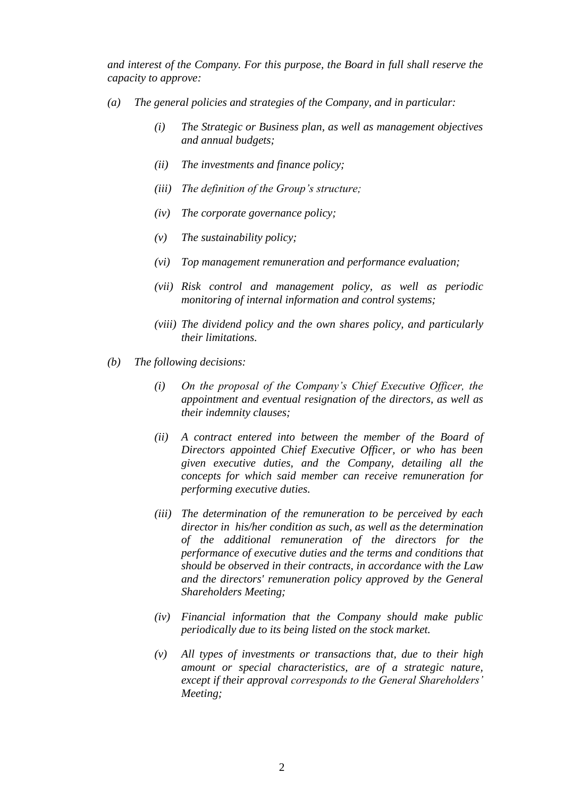*and interest of the Company. For this purpose, the Board in full shall reserve the capacity to approve:*

- *(a) The general policies and strategies of the Company, and in particular:*
	- *(i) The Strategic or Business plan, as well as management objectives and annual budgets;*
	- *(ii) The investments and finance policy;*
	- *(iii) The definition of the Group's structure;*
	- *(iv) The corporate governance policy;*
	- *(v) The sustainability policy;*
	- *(vi) Top management remuneration and performance evaluation;*
	- *(vii) Risk control and management policy, as well as periodic monitoring of internal information and control systems;*
	- *(viii) The dividend policy and the own shares policy, and particularly their limitations.*
- *(b) The following decisions:*
	- *(i) On the proposal of the Company's Chief Executive Officer, the appointment and eventual resignation of the directors, as well as their indemnity clauses;*
	- *(ii) A contract entered into between the member of the Board of Directors appointed Chief Executive Officer, or who has been given executive duties, and the Company, detailing all the concepts for which said member can receive remuneration for performing executive duties.*
	- *(iii) The determination of the remuneration to be perceived by each director in his/her condition as such, as well as the determination of the additional remuneration of the directors for the performance of executive duties and the terms and conditions that should be observed in their contracts, in accordance with the Law and the directors' remuneration policy approved by the General Shareholders Meeting;*
	- *(iv) Financial information that the Company should make public periodically due to its being listed on the stock market.*
	- *(v) All types of investments or transactions that, due to their high amount or special characteristics, are of a strategic nature, except if their approval corresponds to the General Shareholders' Meeting;*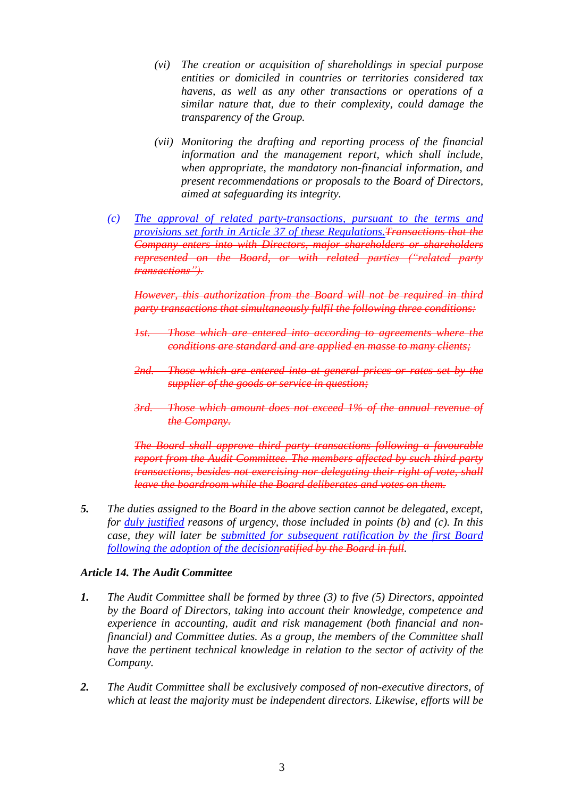- *(vi) The creation or acquisition of shareholdings in special purpose entities or domiciled in countries or territories considered tax havens, as well as any other transactions or operations of a similar nature that, due to their complexity, could damage the transparency of the Group.*
- *(vii) Monitoring the drafting and reporting process of the financial information and the management report, which shall include, when appropriate, the mandatory non-financial information, and present recommendations or proposals to the Board of Directors, aimed at safeguarding its integrity.*
- *(c) The approval of related party-transactions, pursuant to the terms and provisions set forth in Article 37 of these Regulations.Transactions that the Company enters into with Directors, major shareholders or shareholders represented on the Board, or with related parties ("related party transactions").*

*However, this authorization from the Board will not be required in third party transactions that simultaneously fulfil the following three conditions:*

- *1st. Those which are entered into according to agreements where the conditions are standard and are applied en masse to many clients;*
- *2nd. Those which are entered into at general prices or rates set by the supplier of the goods or service in question;*
- *3rd. Those which amount does not exceed 1% of the annual revenue of the Company.*

*The Board shall approve third party transactions following a favourable report from the Audit Committee. The members affected by such third party transactions, besides not exercising nor delegating their right of vote, shall leave the boardroom while the Board deliberates and votes on them.*

*5. The duties assigned to the Board in the above section cannot be delegated, except, for duly justified reasons of urgency, those included in points (b) and (c). In this case, they will later be submitted for subsequent ratification by the first Board following the adoption of the decisionratified by the Board in full.*

### *Article 14. The Audit Committee*

- *1. The Audit Committee shall be formed by three (3) to five (5) Directors, appointed by the Board of Directors, taking into account their knowledge, competence and experience in accounting, audit and risk management (both financial and nonfinancial) and Committee duties. As a group, the members of the Committee shall have the pertinent technical knowledge in relation to the sector of activity of the Company.*
- *2. The Audit Committee shall be exclusively composed of non-executive directors, of which at least the majority must be independent directors. Likewise, efforts will be*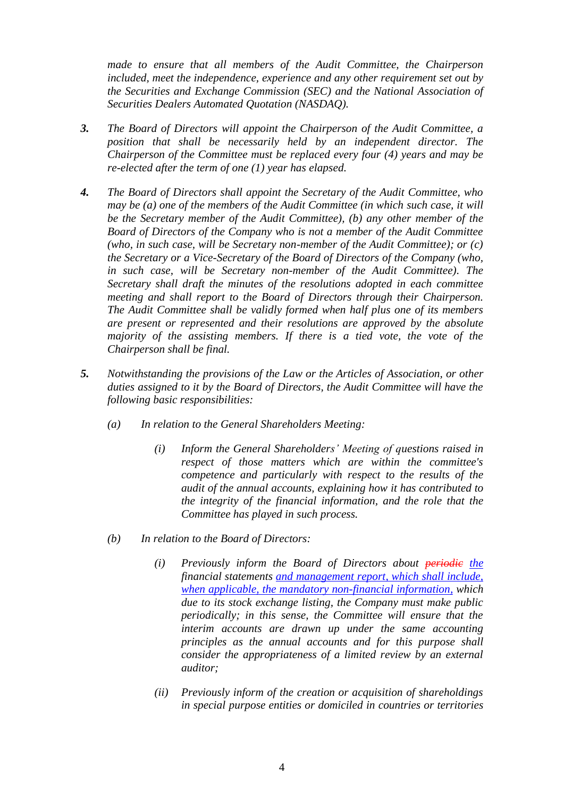*made to ensure that all members of the Audit Committee, the Chairperson included, meet the independence, experience and any other requirement set out by the Securities and Exchange Commission (SEC) and the National Association of Securities Dealers Automated Quotation (NASDAQ).*

- *3. The Board of Directors will appoint the Chairperson of the Audit Committee, a position that shall be necessarily held by an independent director. The Chairperson of the Committee must be replaced every four (4) years and may be re-elected after the term of one (1) year has elapsed.*
- *4. The Board of Directors shall appoint the Secretary of the Audit Committee, who may be (a) one of the members of the Audit Committee (in which such case, it will be the Secretary member of the Audit Committee), (b) any other member of the Board of Directors of the Company who is not a member of the Audit Committee (who, in such case, will be Secretary non-member of the Audit Committee); or (c) the Secretary or a Vice-Secretary of the Board of Directors of the Company (who, in such case, will be Secretary non-member of the Audit Committee). The Secretary shall draft the minutes of the resolutions adopted in each committee meeting and shall report to the Board of Directors through their Chairperson. The Audit Committee shall be validly formed when half plus one of its members are present or represented and their resolutions are approved by the absolute majority of the assisting members. If there is a tied vote, the vote of the Chairperson shall be final.*
- *5. Notwithstanding the provisions of the Law or the Articles of Association, or other duties assigned to it by the Board of Directors, the Audit Committee will have the following basic responsibilities:*
	- *(a) In relation to the General Shareholders Meeting:*
		- *(i) Inform the General Shareholders' Meeting of questions raised in respect of those matters which are within the committee's competence and particularly with respect to the results of the audit of the annual accounts, explaining how it has contributed to the integrity of the financial information, and the role that the Committee has played in such process.*
	- *(b) In relation to the Board of Directors:*
		- *(i) Previously inform the Board of Directors about periodic the financial statements and management report, which shall include, when applicable, the mandatory non-financial information, which due to its stock exchange listing, the Company must make public periodically; in this sense, the Committee will ensure that the interim accounts are drawn up under the same accounting principles as the annual accounts and for this purpose shall consider the appropriateness of a limited review by an external auditor;*
		- *(ii) Previously inform of the creation or acquisition of shareholdings in special purpose entities or domiciled in countries or territories*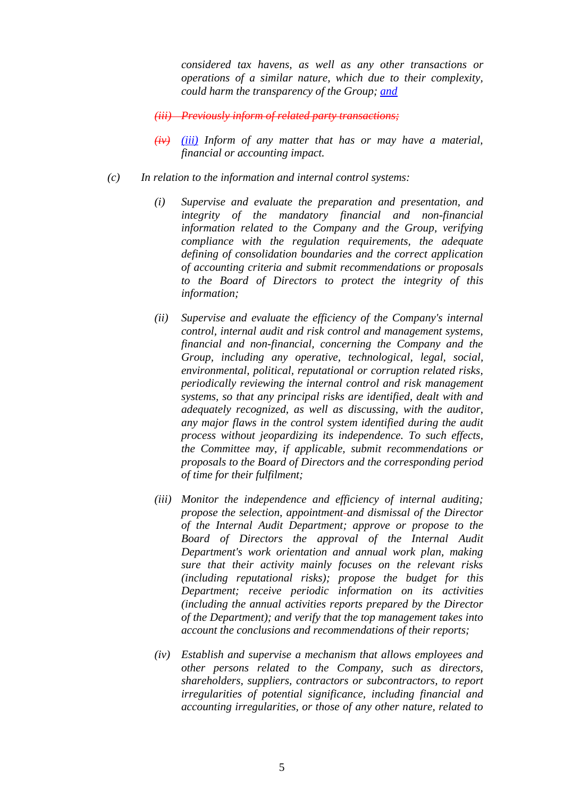*considered tax havens, as well as any other transactions or operations of a similar nature, which due to their complexity, could harm the transparency of the Group; and*

*(iii) Previously inform of related party transactions;*

- *(iv) (iii) Inform of any matter that has or may have a material, financial or accounting impact.*
- *(c) In relation to the information and internal control systems:*
	- *(i) Supervise and evaluate the preparation and presentation, and integrity of the mandatory financial and non-financial information related to the Company and the Group, verifying compliance with the regulation requirements, the adequate defining of consolidation boundaries and the correct application of accounting criteria and submit recommendations or proposals to the Board of Directors to protect the integrity of this information;*
	- *(ii) Supervise and evaluate the efficiency of the Company's internal control, internal audit and risk control and management systems, financial and non-financial, concerning the Company and the Group, including any operative, technological, legal, social, environmental, political, reputational or corruption related risks, periodically reviewing the internal control and risk management systems, so that any principal risks are identified, dealt with and adequately recognized, as well as discussing, with the auditor, any major flaws in the control system identified during the audit process without jeopardizing its independence. To such effects, the Committee may, if applicable, submit recommendations or proposals to the Board of Directors and the corresponding period of time for their fulfilment;*
	- *(iii) Monitor the independence and efficiency of internal auditing; propose the selection, appointment and dismissal of the Director of the Internal Audit Department; approve or propose to the Board of Directors the approval of the Internal Audit Department's work orientation and annual work plan, making sure that their activity mainly focuses on the relevant risks (including reputational risks); propose the budget for this Department; receive periodic information on its activities (including the annual activities reports prepared by the Director of the Department); and verify that the top management takes into account the conclusions and recommendations of their reports;*
	- *(iv) Establish and supervise a mechanism that allows employees and other persons related to the Company, such as directors, shareholders, suppliers, contractors or subcontractors, to report irregularities of potential significance, including financial and accounting irregularities, or those of any other nature, related to*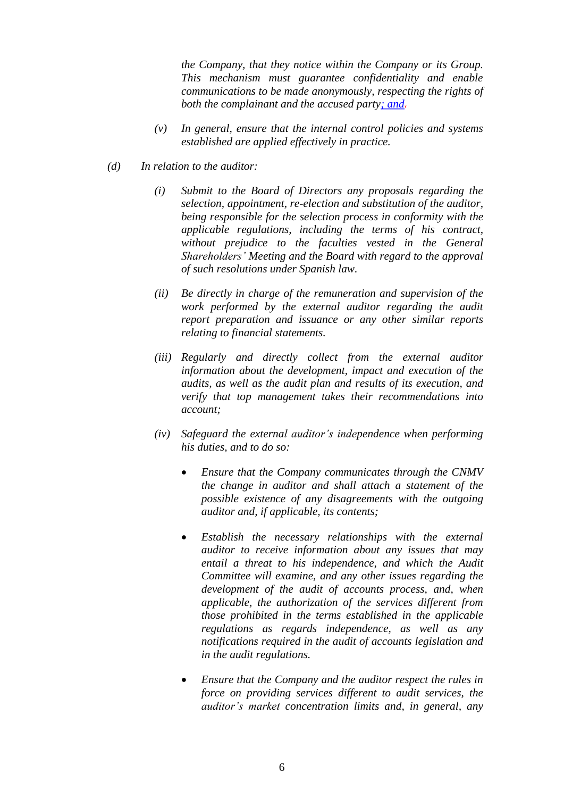*the Company, that they notice within the Company or its Group. This mechanism must guarantee confidentiality and enable communications to be made anonymously, respecting the rights of both the complainant and the accused party; and.*

- *(v) In general, ensure that the internal control policies and systems established are applied effectively in practice.*
- *(d) In relation to the auditor:*
	- *(i) Submit to the Board of Directors any proposals regarding the selection, appointment, re-election and substitution of the auditor, being responsible for the selection process in conformity with the applicable regulations, including the terms of his contract, without prejudice to the faculties vested in the General Shareholders' Meeting and the Board with regard to the approval of such resolutions under Spanish law.*
	- *(ii) Be directly in charge of the remuneration and supervision of the work performed by the external auditor regarding the audit report preparation and issuance or any other similar reports relating to financial statements.*
	- *(iii) Regularly and directly collect from the external auditor information about the development, impact and execution of the audits, as well as the audit plan and results of its execution, and verify that top management takes their recommendations into account;*
	- *(iv) Safeguard the external auditor's independence when performing his duties, and to do so:*
		- *Ensure that the Company communicates through the CNMV the change in auditor and shall attach a statement of the possible existence of any disagreements with the outgoing auditor and, if applicable, its contents;*
		- *Establish the necessary relationships with the external auditor to receive information about any issues that may entail a threat to his independence, and which the Audit Committee will examine, and any other issues regarding the development of the audit of accounts process, and, when applicable, the authorization of the services different from those prohibited in the terms established in the applicable regulations as regards independence, as well as any notifications required in the audit of accounts legislation and in the audit regulations.*
		- *Ensure that the Company and the auditor respect the rules in force on providing services different to audit services, the auditor's market concentration limits and, in general, any*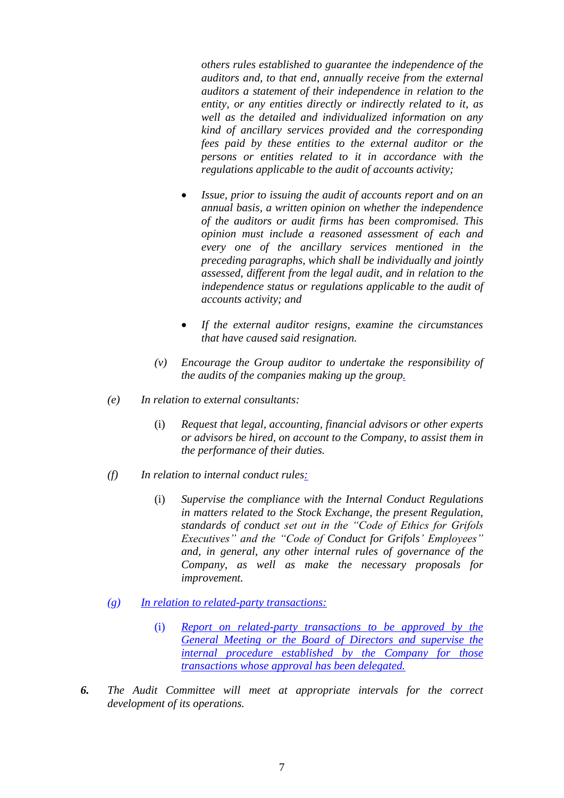*others rules established to guarantee the independence of the auditors and, to that end, annually receive from the external auditors a statement of their independence in relation to the entity, or any entities directly or indirectly related to it, as well as the detailed and individualized information on any kind of ancillary services provided and the corresponding fees paid by these entities to the external auditor or the persons or entities related to it in accordance with the regulations applicable to the audit of accounts activity;*

- *Issue, prior to issuing the audit of accounts report and on an annual basis, a written opinion on whether the independence of the auditors or audit firms has been compromised. This opinion must include a reasoned assessment of each and every one of the ancillary services mentioned in the preceding paragraphs, which shall be individually and jointly assessed, different from the legal audit, and in relation to the independence status or regulations applicable to the audit of accounts activity; and*
- *If the external auditor resigns, examine the circumstances that have caused said resignation.*
- *(v) Encourage the Group auditor to undertake the responsibility of the audits of the companies making up the group.*
- *(e) In relation to external consultants:*
	- (i) *Request that legal, accounting, financial advisors or other experts or advisors be hired, on account to the Company, to assist them in the performance of their duties.*
- *(f) In relation to internal conduct rules:*
	- (i) *Supervise the compliance with the Internal Conduct Regulations in matters related to the Stock Exchange, the present Regulation, standards of conduct set out in the "Code of Ethics for Grifols Executives" and the "Code of Conduct for Grifols' Employees" and, in general, any other internal rules of governance of the Company, as well as make the necessary proposals for improvement.*
- *(g) In relation to related-party transactions:*
	- (i) *Report on related-party transactions to be approved by the General Meeting or the Board of Directors and supervise the internal procedure established by the Company for those transactions whose approval has been delegated.*
- *6. The Audit Committee will meet at appropriate intervals for the correct development of its operations.*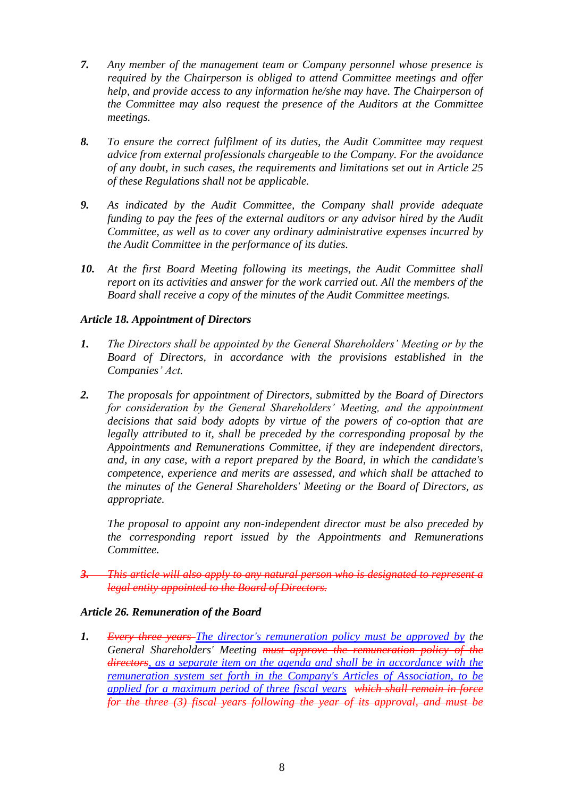- *7. Any member of the management team or Company personnel whose presence is required by the Chairperson is obliged to attend Committee meetings and offer help, and provide access to any information he/she may have. The Chairperson of the Committee may also request the presence of the Auditors at the Committee meetings.*
- *8. To ensure the correct fulfilment of its duties, the Audit Committee may request advice from external professionals chargeable to the Company. For the avoidance of any doubt, in such cases, the requirements and limitations set out in Article 25 of these Regulations shall not be applicable.*
- *9. As indicated by the Audit Committee, the Company shall provide adequate funding to pay the fees of the external auditors or any advisor hired by the Audit Committee, as well as to cover any ordinary administrative expenses incurred by the Audit Committee in the performance of its duties.*
- *10. At the first Board Meeting following its meetings, the Audit Committee shall report on its activities and answer for the work carried out. All the members of the Board shall receive a copy of the minutes of the Audit Committee meetings.*

# *Article 18. Appointment of Directors*

- *1. The Directors shall be appointed by the General Shareholders' Meeting or by the Board of Directors, in accordance with the provisions established in the Companies' Act.*
- *2. The proposals for appointment of Directors, submitted by the Board of Directors for consideration by the General Shareholders' Meeting, and the appointment decisions that said body adopts by virtue of the powers of co-option that are legally attributed to it, shall be preceded by the corresponding proposal by the Appointments and Remunerations Committee, if they are independent directors, and, in any case, with a report prepared by the Board, in which the candidate's competence, experience and merits are assessed, and which shall be attached to the minutes of the General Shareholders' Meeting or the Board of Directors, as appropriate.*

*The proposal to appoint any non-independent director must be also preceded by the corresponding report issued by the Appointments and Remunerations Committee.*

*3. This article will also apply to any natural person who is designated to represent a legal entity appointed to the Board of Directors.*

### *Article 26. Remuneration of the Board*

*1. Every three years The director's remuneration policy must be approved by the General Shareholders' Meeting must approve the remuneration policy of the directors, as a separate item on the agenda and shall be in accordance with the remuneration system set forth in the Company's Articles of Association, to be applied for a maximum period of three fiscal years which shall remain in force for the three (3) fiscal years following the year of its approval, and must be*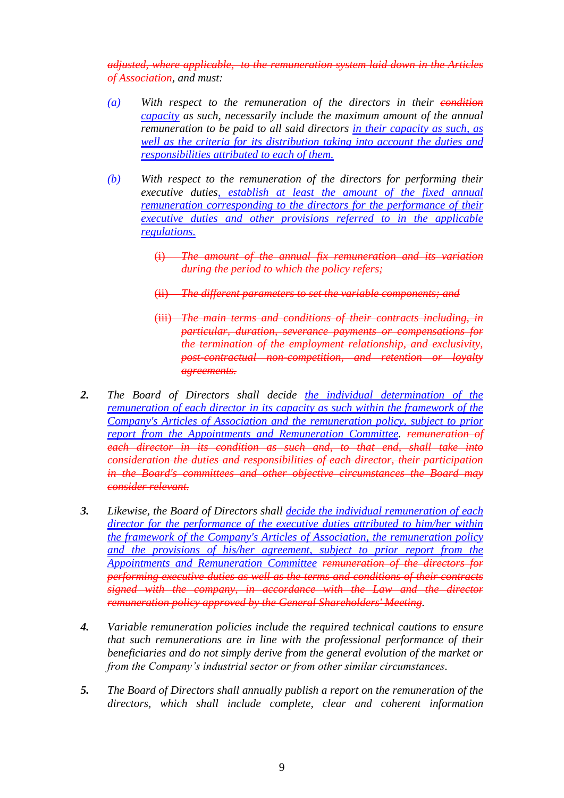*adjusted, where applicable, to the remuneration system laid down in the Articles of Association, and must:*

- *(a) With respect to the remuneration of the directors in their condition capacity as such, necessarily include the maximum amount of the annual remuneration to be paid to all said directors in their capacity as such, as well as the criteria for its distribution taking into account the duties and responsibilities attributed to each of them.*
- *(b) With respect to the remuneration of the directors for performing their executive duties, establish at least the amount of the fixed annual remuneration corresponding to the directors for the performance of their executive duties and other provisions referred to in the applicable regulations.*
	- (i) *The amount of the annual fix remuneration and its variation during the period to which the policy refers;*
	- (ii) *The different parameters to set the variable components; and*
	- (iii) *The main terms and conditions of their contracts including, in particular, duration, severance payments or compensations for the termination of the employment relationship, and exclusivity, post-contractual non-competition, and retention or loyalty agreements.*
- *2. The Board of Directors shall decide the individual determination of the remuneration of each director in its capacity as such within the framework of the Company's Articles of Association and the remuneration policy, subject to prior report from the Appointments and Remuneration Committee. remuneration of each director in its condition as such and, to that end, shall take into consideration the duties and responsibilities of each director, their participation in the Board's committees and other objective circumstances the Board may consider relevant.*
- *3. Likewise, the Board of Directors shall decide the individual remuneration of each director for the performance of the executive duties attributed to him/her within the framework of the Company's Articles of Association, the remuneration policy and the provisions of his/her agreement, subject to prior report from the Appointments and Remuneration Committee remuneration of the directors for performing executive duties as well as the terms and conditions of their contracts signed with the company, in accordance with the Law and the director remuneration policy approved by the General Shareholders' Meeting.*
- *4. Variable remuneration policies include the required technical cautions to ensure that such remunerations are in line with the professional performance of their beneficiaries and do not simply derive from the general evolution of the market or from the Company's industrial sector or from other similar circumstances.*
- *5. The Board of Directors shall annually publish a report on the remuneration of the directors, which shall include complete, clear and coherent information*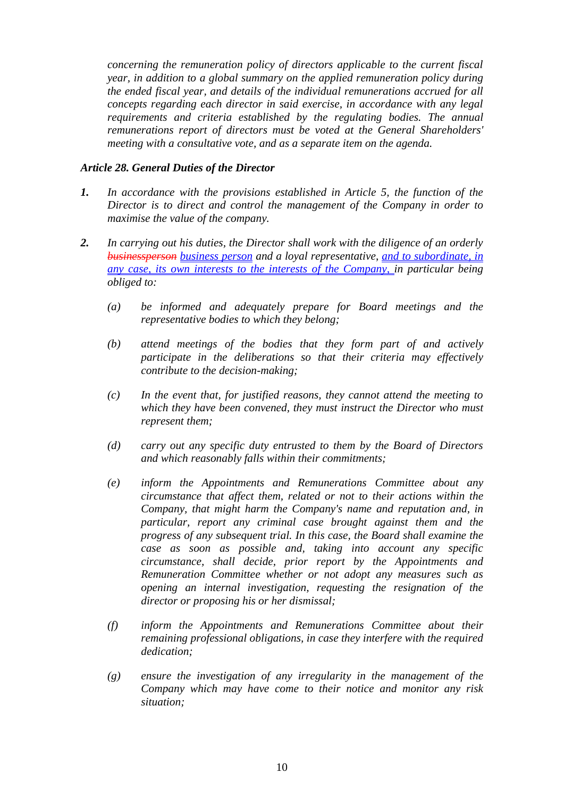*concerning the remuneration policy of directors applicable to the current fiscal year, in addition to a global summary on the applied remuneration policy during the ended fiscal year, and details of the individual remunerations accrued for all concepts regarding each director in said exercise, in accordance with any legal requirements and criteria established by the regulating bodies. The annual remunerations report of directors must be voted at the General Shareholders' meeting with a consultative vote, and as a separate item on the agenda.*

### *Article 28. General Duties of the Director*

- *1. In accordance with the provisions established in Article 5, the function of the Director is to direct and control the management of the Company in order to maximise the value of the company.*
- *2. In carrying out his duties, the Director shall work with the diligence of an orderly businessperson business person and a loyal representative*, *and to subordinate, in any case, its own interests to the interests of the Company, in particular being obliged to:*
	- *(a) be informed and adequately prepare for Board meetings and the representative bodies to which they belong;*
	- *(b) attend meetings of the bodies that they form part of and actively participate in the deliberations so that their criteria may effectively contribute to the decision-making;*
	- *(c) In the event that, for justified reasons, they cannot attend the meeting to which they have been convened, they must instruct the Director who must represent them;*
	- *(d) carry out any specific duty entrusted to them by the Board of Directors and which reasonably falls within their commitments;*
	- *(e) inform the Appointments and Remunerations Committee about any circumstance that affect them, related or not to their actions within the Company, that might harm the Company's name and reputation and, in particular, report any criminal case brought against them and the progress of any subsequent trial. In this case, the Board shall examine the case as soon as possible and, taking into account any specific circumstance, shall decide, prior report by the Appointments and Remuneration Committee whether or not adopt any measures such as opening an internal investigation, requesting the resignation of the director or proposing his or her dismissal;*
	- *(f) inform the Appointments and Remunerations Committee about their remaining professional obligations, in case they interfere with the required dedication;*
	- *(g) ensure the investigation of any irregularity in the management of the Company which may have come to their notice and monitor any risk situation;*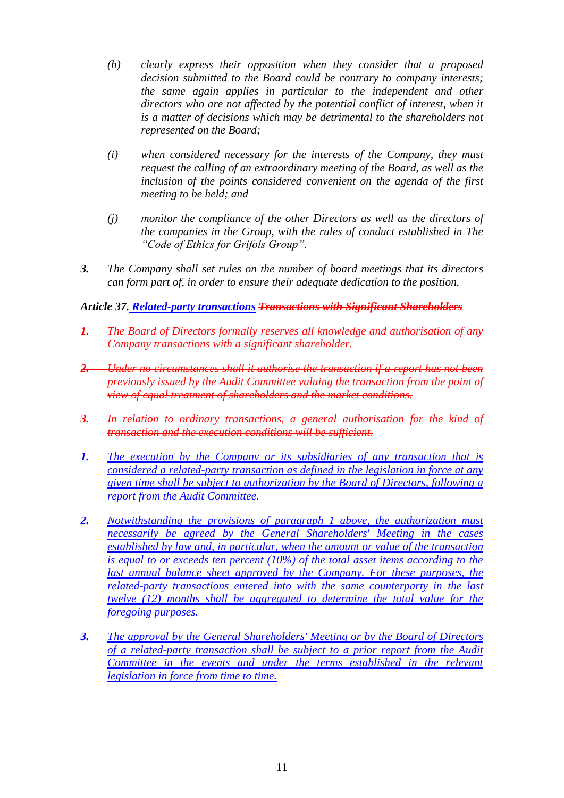- *(h) clearly express their opposition when they consider that a proposed decision submitted to the Board could be contrary to company interests; the same again applies in particular to the independent and other directors who are not affected by the potential conflict of interest, when it is a matter of decisions which may be detrimental to the shareholders not represented on the Board;*
- *(i) when considered necessary for the interests of the Company, they must request the calling of an extraordinary meeting of the Board, as well as the inclusion of the points considered convenient on the agenda of the first meeting to be held; and*
- *(j) monitor the compliance of the other Directors as well as the directors of the companies in the Group, with the rules of conduct established in The "Code of Ethics for Grifols Group".*
- *3. The Company shall set rules on the number of board meetings that its directors can form part of, in order to ensure their adequate dedication to the position.*

## *Article 37. Related-party transactions Transactions with Significant Shareholders*

- *1. The Board of Directors formally reserves all knowledge and authorisation of any Company transactions with a significant shareholder.*
- *2. Under no circumstances shall it authorise the transaction if a report has not been previously issued by the Audit Committee valuing the transaction from the point of view of equal treatment of shareholders and the market conditions.*
- *3. In relation to ordinary transactions, a general authorisation for the kind of transaction and the execution conditions will be sufficient.*
- *1. The execution by the Company or its subsidiaries of any transaction that is considered a related-party transaction as defined in the legislation in force at any given time shall be subject to authorization by the Board of Directors, following a report from the Audit Committee.*
- *2. Notwithstanding the provisions of paragraph 1 above, the authorization must necessarily be agreed by the General Shareholders' Meeting in the cases established by law and, in particular, when the amount or value of the transaction is equal to or exceeds ten percent (10%) of the total asset items according to the last annual balance sheet approved by the Company. For these purposes, the related-party transactions entered into with the same counterparty in the last twelve (12) months shall be aggregated to determine the total value for the foregoing purposes.*
- *3. The approval by the General Shareholders' Meeting or by the Board of Directors of a related-party transaction shall be subject to a prior report from the Audit Committee in the events and under the terms established in the relevant legislation in force from time to time.*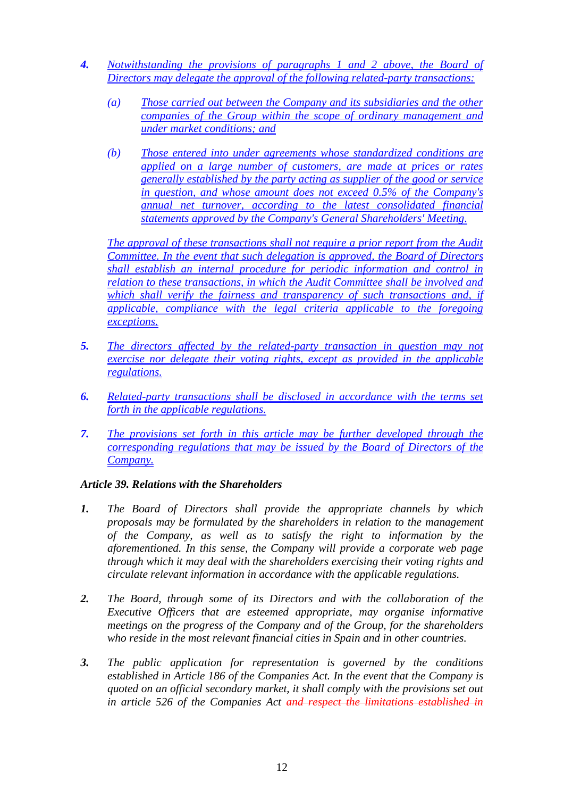- *4. Notwithstanding the provisions of paragraphs 1 and 2 above, the Board of Directors may delegate the approval of the following related-party transactions:*
	- *(a) Those carried out between the Company and its subsidiaries and the other companies of the Group within the scope of ordinary management and under market conditions; and*
	- *(b) Those entered into under agreements whose standardized conditions are applied on a large number of customers, are made at prices or rates generally established by the party acting as supplier of the good or service in question, and whose amount does not exceed 0.5% of the Company's annual net turnover, according to the latest consolidated financial statements approved by the Company's General Shareholders' Meeting.*

*The approval of these transactions shall not require a prior report from the Audit Committee. In the event that such delegation is approved, the Board of Directors shall establish an internal procedure for periodic information and control in relation to these transactions, in which the Audit Committee shall be involved and which shall verify the fairness and transparency of such transactions and, if applicable, compliance with the legal criteria applicable to the foregoing exceptions.*

- *5. The directors affected by the related-party transaction in question may not exercise nor delegate their voting rights, except as provided in the applicable regulations.*
- *6. Related-party transactions shall be disclosed in accordance with the terms set forth in the applicable regulations.*
- *7. The provisions set forth in this article may be further developed through the corresponding regulations that may be issued by the Board of Directors of the Company.*

# *Article 39. Relations with the Shareholders*

- *1. The Board of Directors shall provide the appropriate channels by which proposals may be formulated by the shareholders in relation to the management of the Company, as well as to satisfy the right to information by the aforementioned. In this sense, the Company will provide a corporate web page through which it may deal with the shareholders exercising their voting rights and circulate relevant information in accordance with the applicable regulations.*
- *2. The Board, through some of its Directors and with the collaboration of the Executive Officers that are esteemed appropriate, may organise informative meetings on the progress of the Company and of the Group, for the shareholders who reside in the most relevant financial cities in Spain and in other countries.*
- *3. The public application for representation is governed by the conditions established in Article 186 of the Companies Act. In the event that the Company is quoted on an official secondary market, it shall comply with the provisions set out in article 526 of the Companies Act and respect the limitations established in*